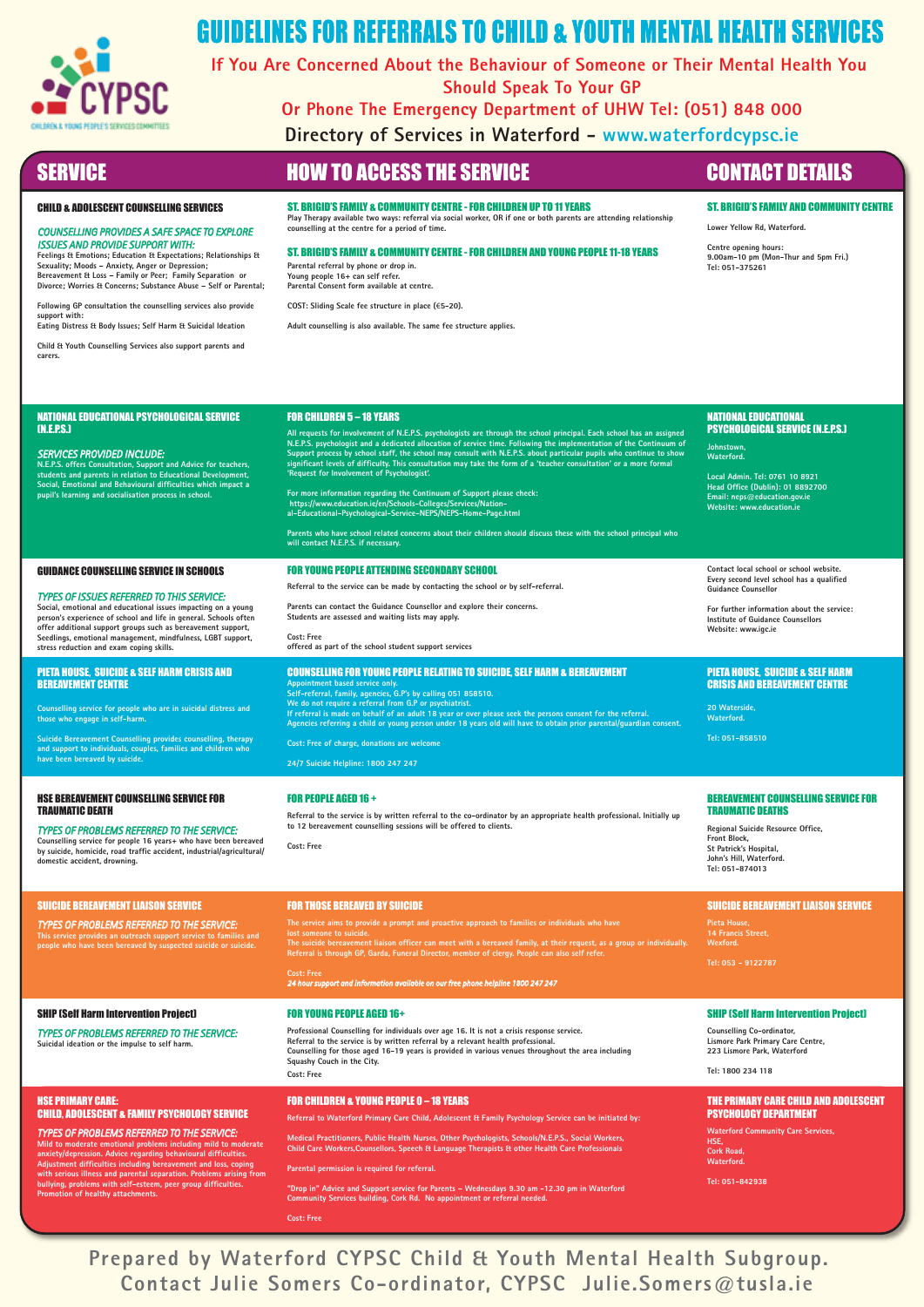

# **GUIDELINES FOR REFERRALS TO CHILD & YOUTH MENTAL HEALTH SERVICES**

**If You Are Concerned About the Behaviour of Someone or Their Mental Health You Should Speak To Your GP**

**Or Phone The Emergency Department of UHW Tel: (051) 848 000**

**Directory of Services in Waterford - www.waterfordcypsc.ie**

**support with:** 

**carers.**

## SERVICE **SERVICE A ROW TO ACCESS THE SERVICE CONTACT DETAILS**

**9.00am-10 pm (Mon-Thur and 5pm Fri.) Tel: 051-375261**

**Lower Yellow Rd, Waterford. Centre opening hours:**

ST. BRIGID'S FAMILY AND COMMUNITY CENTRE

### CHILD & ADOLESCENT COUNSELLING SERVICES

*ISSUES AND PROVIDE SUPPORT WITH:*

*COUNSELLING PROVIDES A SAFE SPACE TO EXPLORE* 

**Feelings & Emotions; Education & Expectations; Relationships & Sexuality; Moods – Anxiety, Anger or Depression; Bereavement & Loss – Family or Peer; Family Separation or Divorce; Worries & Concerns; Substance Abuse – Self or Parental; Following GP consultation the counselling services also provide** 

**Eating Distress & Body Issues; Self Harm & Suicidal Ideation Child & Youth Counselling Services also support parents and** 

ST. BRIGID'S FAMILY & COMMUNITY CENTRE - FOR CHILDREN UP TO 11 YEARS **Play Therapy available two ways: referral via social worker, OR if one or both parents are attending relationship counselling at the centre for a period of time.**

ST. BRIGID'S FAMILY & COMMUNITY CENTRE - FOR CHILDREN AND YOUNG PEOPLE 11-18 YEARS **Parental referral by phone or drop in.**

**Young people 16+ can self refer. Parental Consent form available at centre.**

**COST: Sliding Scale fee structure in place (**€**5-20).**

**Adult counselling is also available. The same fee structure applies.**

# NATIONAL EDUCATIONAL

**Local Admin. Tel: 0761 10 8921 Head Office (Dublin): 01 8892700 Email: neps@education.gov.ie Website: www.education.ie**

**Contact local school or school website. Every second level school has a qualified** 

**For further information about the service: Institute of Guidance Counsellors**

### PIETA HOUSE, SUICIDE & SELF HARM CRISIS AND BEREAVEMENT CENTRE

## BEREAVEMENT COUNSELLING SERVICE FOR

**Regional Suicide Resource Office, St Patrick's Hospital, John's Hill, Waterford.** 

### SUICIDE BEREAVEMENT LIAISON SERVICE

### SHIP (Self Harm Intervention Project)

**Counselling Co-ordinator, Lismore Park Primary Care Centre, 223 Lismore Park, Waterford**

### THE PRIMARY CARE CHILD AND ADOLESCENT PSYCHOLOGY DEPARTMENT

**Waterford Community Care Services, HSE, Cork Road, Waterford. Tel: 051-842938**

NATIONAL EDUCATIONAL PSYCHOLOGICAL SERVICE (N.E.P.S.) *SERVICES PROVIDED INCLUDE:* **N.E.P.S. offers Consultation, Support and Advice for teachers, students and parents in relation to Educational Development, Social, Emotional and Behavioural difficulties which impact a pupil's learning and socialisation process in school.** FOR CHILDREN 5 – 18 YEARS All requests for involvement of N.E.P.S. psychologists are through the school principal. Each school has an assigned<br>N.E.P.S. psychologist and a dedicated allocation of service time. Following the implementation of the Con **For more information regarding the Continuum of Support please check: https://www.education.ie/en/Schools-Colleges/Services/Nation-al-Educational-Psychological-Service-NEPS/NEPS-Home-Page.html Parents who have school related concerns about their children should discuss these with the school principal who will contact N.E.P.S. if necessary.**  PSYCHOLOGICAL SERVICE (N.E.P.S.) **Johnstown, Waterford.** GUIDANCE COUNSELLING SERVICE IN SCHOOLS *TYPES OF ISSUES REFERRED TO THIS SERVICE:* **Social, emotional and educational issues impacting on a young person's experience of school and life in general. Schools often offer additional support groups such as bereavement support, Seedlings, emotional management, mindfulness, LGBT support, stress reduction and exam coping skills.** FOR YOUNG PEOPLE ATTENDING SECONDARY SCHOOL **Referral to the service can be made by contacting the school or by self-referral. Parents can contact the Guidance Counsellor and explore their concerns. Students are assessed and waiting lists may apply. Cost: Free offered as part of the school student support services Guidance Counsellor Website: www.igc.ie** PIETA HOUSE, SUICIDE & SELF HARM CRISIS AND BEREAVEMENT CENTRE **Counselling service for people who are in suicidal distress and those who engage in self-harm. Suicide Bereavement Counselling provides counselling, therapy and support to individuals, couples, families and children who have been bereaved by suicide.** COUNSELLING FOR YOUNG PEOPLE RELATING TO SUICIDE, SELF HARM & BEREAVEMENT **Appointment based service only. Self-referral, family, agencies, G.P's by calling 051 858510.** We do not require a referral from G.P or psychiatrist.<br>If referral is made on behalf of an adult 18 year or over please seek the persons consent for the referral.<br>Agencies referring a child or young person under 18 years o **Cost: Free of charge, donations are welcome 24/7 Suicide Helpline: 1800 247 247 20 Waterside, Waterford. Tel: 051-858510** HSE BEREAVEMENT COUNSELLING SERVICE FOR TRAUMATIC DEATH *TYPES OF PROBLEMS REFERRED TO THE SERVICE:* **Counselling service for people 16 years+ who have been bereaved by suicide, homicide, road traffic accident, industrial/agricultural/ domestic accident, drowning.** FOR PEOPLE AGED 16 + **Referral to the service is by written referral to the co-ordinator by an appropriate health professional. Initially up to 12 bereavement counselling sessions will be offered to clients. Cost: Free**  TRAUMATIC DEATHS **Front Block, Tel: 051-874013**  SUICIDE BEREAVEMENT LIAISON SERVICE *TYPES OF PROBLEMS REFERRED TO THE SERVICE:* **This service provides an outreach support service to families and people who have been bereaved by suspected suicide or suicide.** FOR THOSE BEREAVED BY SUICIDE **The service aims to provide a prompt and proactive approach to families or individuals who have lost someone to suicide.** The suicide bereavement liaison officer can meet with a bereaved family, at their request, as a group or individually.<br>Referral is through GP, Garda, Funeral Director, member of clergy. People can also self refer. **Cost: Free** *24 hour support and information available on our free phone helpline 1800 247 247* **Pieta House, 14 Francis Street, Wexford. Tel: 053 - 9122787** SHIP (Self Harm Intervention Project) *TYPES OF PROBLEMS REFERRED TO THE SERVICE:* **Suicidal ideation or the impulse to self h** FOR YOUNG PEOPLE AGED 16+ **Professional Counselling for individuals over age 16. It is not a crisis response service. Referral to the service is by written referral by a relevant health professional. Counselling for those aged 16-19 years is provided in various venues throughout the area including Squashy Couch in the City. Cost: Free Tel: 1800 234 118** HSE PRIMARY CARE: CHILD, ADOLESCENT & FAMILY PSYCHOLOGY SERVICE *TYPES OF PROBLEMS REFERRED TO THE SERVICE:* Mild to moderate emotional problems including mild to moderate<br>anxiety/depression. Advice regarding behavioural difficulties.<br>Adjustment difficulties including bereavement and loss, coping<br>with serious illness and parental FOR CHILDREN & YOUNG PEOPLE 0 – 18 YEARS **Referral to Waterford Primary Care Child, Adolescent & Family Psychology Service can be initiated by: Medical Practitioners, Public Health Nurses, Other Psychologists, Schools/N.E.P.S., Social Workers, Child Care Workers,Counsellors, Speech & Language Therapists & other Health Care Professionals Parental permission is required for referral.**

**Prepared by Waterford CYPSC Child & Youth Mental Health Subgroup. Contact Julie Somers Co-ordinator, CYPSC Julie.Somers@tusla.ie**

**"Drop in" Advice and Support service for Parents – Wednesdays 9.30 am -12.30 pm in Waterford Community Services building, Cork Rd. No appointment or referral needed.**

**Cost: Free**